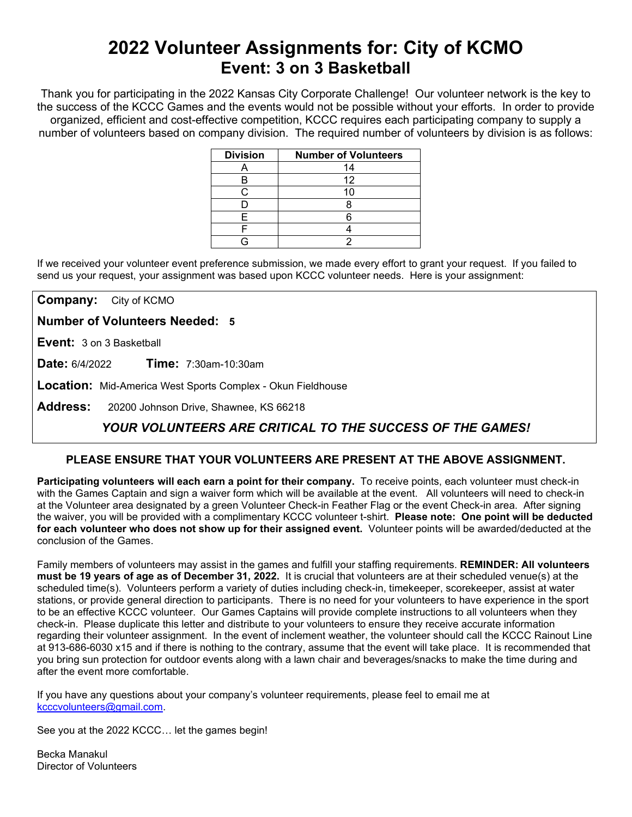# **2022 Volunteer Assignments for: City of KCMO Event: 3 on 3 Basketball**

Thank you for participating in the 2022 Kansas City Corporate Challenge! Our volunteer network is the key to the success of the KCCC Games and the events would not be possible without your efforts.In order to provide organized, efficient and cost-effective competition, KCCC requires each participating company to supply a number of volunteers based on company division. The required number of volunteers by division is as follows:

| <b>Division</b> | <b>Number of Volunteers</b> |
|-----------------|-----------------------------|
|                 | 14                          |
| в               | 12                          |
| ◠               | 10                          |
|                 |                             |
| F               |                             |
|                 |                             |
|                 |                             |

If we received your volunteer event preference submission, we made every effort to grant your request. If you failed to send us your request, your assignment was based upon KCCC volunteer needs. Here is your assignment:

**Company:** City of KCMO

**Number of Volunteers Needed: 5**

**Event:** 3 on 3 Basketball

**Date:** 6/4/2022 **Time:** 7:30am-10:30am

**Location:** Mid-America West Sports Complex - Okun Fieldhouse

**Address:** 20200 Johnson Drive, Shawnee, KS 66218

## *YOUR VOLUNTEERS ARE CRITICAL TO THE SUCCESS OF THE GAMES!*

### **PLEASE ENSURE THAT YOUR VOLUNTEERS ARE PRESENT AT THE ABOVE ASSIGNMENT.**

**Participating volunteers will each earn a point for their company.** To receive points, each volunteer must check-in with the Games Captain and sign a waiver form which will be available at the event. All volunteers will need to check-in at the Volunteer area designated by a green Volunteer Check-in Feather Flag or the event Check-in area. After signing the waiver, you will be provided with a complimentary KCCC volunteer t-shirt. **Please note: One point will be deducted for each volunteer who does not show up for their assigned event.** Volunteer points will be awarded/deducted at the conclusion of the Games.

Family members of volunteers may assist in the games and fulfill your staffing requirements. **REMINDER: All volunteers must be 19 years of age as of December 31, 2022.** It is crucial that volunteers are at their scheduled venue(s) at the scheduled time(s). Volunteers perform a variety of duties including check-in, timekeeper, scorekeeper, assist at water stations, or provide general direction to participants. There is no need for your volunteers to have experience in the sport to be an effective KCCC volunteer. Our Games Captains will provide complete instructions to all volunteers when they check-in. Please duplicate this letter and distribute to your volunteers to ensure they receive accurate information regarding their volunteer assignment. In the event of inclement weather, the volunteer should call the KCCC Rainout Line at 913-686-6030 x15 and if there is nothing to the contrary, assume that the event will take place. It is recommended that you bring sun protection for outdoor events along with a lawn chair and beverages/snacks to make the time during and after the event more comfortable.

If you have any questions about your company's volunteer requirements, please feel to email me at [kcccvolunteers@gmail.com.](mailto:kcccvolunteers@gmail.com)

See you at the 2022 KCCC… let the games begin!

Becka Manakul Director of Volunteers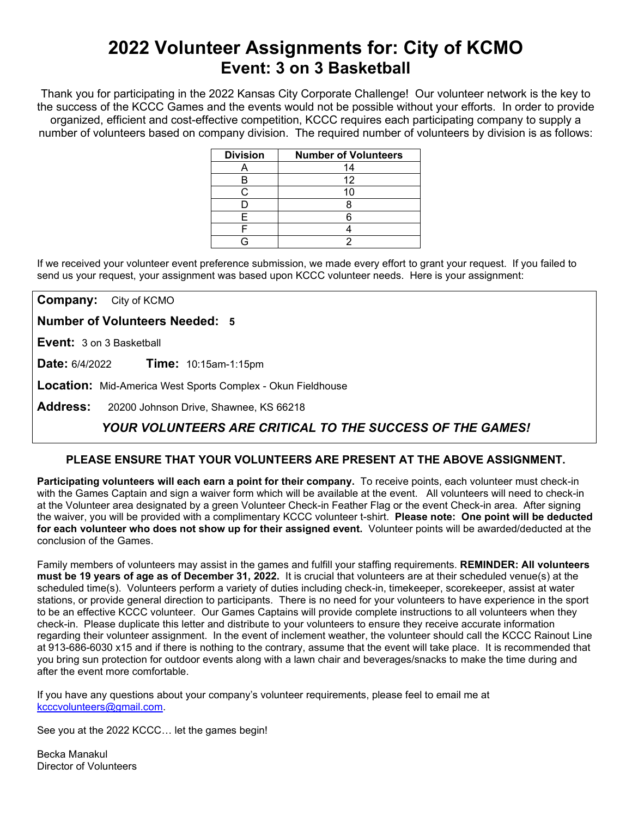# **2022 Volunteer Assignments for: City of KCMO Event: 3 on 3 Basketball**

Thank you for participating in the 2022 Kansas City Corporate Challenge! Our volunteer network is the key to the success of the KCCC Games and the events would not be possible without your efforts.In order to provide organized, efficient and cost-effective competition, KCCC requires each participating company to supply a number of volunteers based on company division. The required number of volunteers by division is as follows:

| <b>Division</b> | <b>Number of Volunteers</b> |
|-----------------|-----------------------------|
|                 | 14                          |
| к               | 12                          |
| ◠.              | 10                          |
|                 |                             |
| F               |                             |
|                 |                             |
|                 |                             |

If we received your volunteer event preference submission, we made every effort to grant your request. If you failed to send us your request, your assignment was based upon KCCC volunteer needs. Here is your assignment:

**Company:** City of KCMO

**Number of Volunteers Needed: 5**

**Event:** 3 on 3 Basketball

**Date:** 6/4/2022 **Time:** 10:15am-1:15pm

**Location:** Mid-America West Sports Complex - Okun Fieldhouse

**Address:** 20200 Johnson Drive, Shawnee, KS 66218

## *YOUR VOLUNTEERS ARE CRITICAL TO THE SUCCESS OF THE GAMES!*

### **PLEASE ENSURE THAT YOUR VOLUNTEERS ARE PRESENT AT THE ABOVE ASSIGNMENT.**

**Participating volunteers will each earn a point for their company.** To receive points, each volunteer must check-in with the Games Captain and sign a waiver form which will be available at the event. All volunteers will need to check-in at the Volunteer area designated by a green Volunteer Check-in Feather Flag or the event Check-in area. After signing the waiver, you will be provided with a complimentary KCCC volunteer t-shirt. **Please note: One point will be deducted for each volunteer who does not show up for their assigned event.** Volunteer points will be awarded/deducted at the conclusion of the Games.

Family members of volunteers may assist in the games and fulfill your staffing requirements. **REMINDER: All volunteers must be 19 years of age as of December 31, 2022.** It is crucial that volunteers are at their scheduled venue(s) at the scheduled time(s). Volunteers perform a variety of duties including check-in, timekeeper, scorekeeper, assist at water stations, or provide general direction to participants. There is no need for your volunteers to have experience in the sport to be an effective KCCC volunteer. Our Games Captains will provide complete instructions to all volunteers when they check-in. Please duplicate this letter and distribute to your volunteers to ensure they receive accurate information regarding their volunteer assignment. In the event of inclement weather, the volunteer should call the KCCC Rainout Line at 913-686-6030 x15 and if there is nothing to the contrary, assume that the event will take place. It is recommended that you bring sun protection for outdoor events along with a lawn chair and beverages/snacks to make the time during and after the event more comfortable.

If you have any questions about your company's volunteer requirements, please feel to email me at [kcccvolunteers@gmail.com.](mailto:kcccvolunteers@gmail.com)

See you at the 2022 KCCC… let the games begin!

Becka Manakul Director of Volunteers